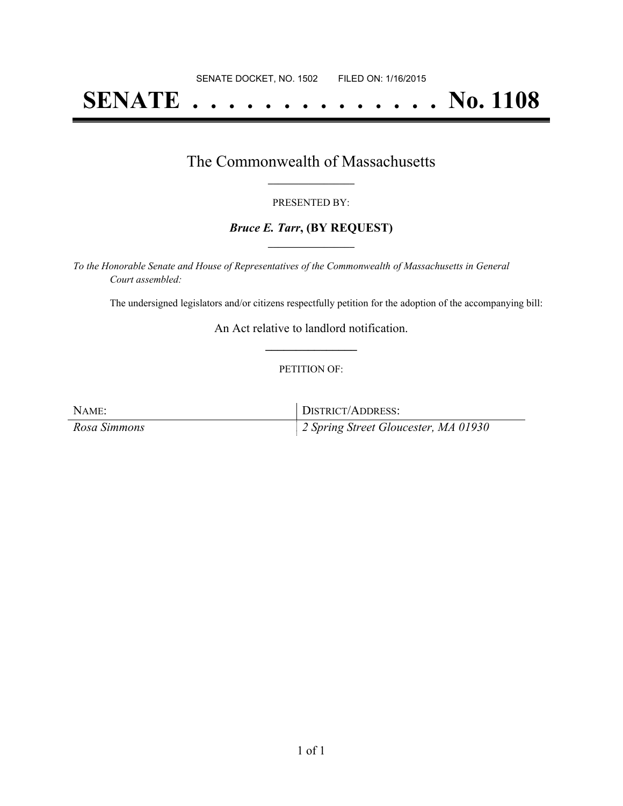# **SENATE . . . . . . . . . . . . . . No. 1108**

## The Commonwealth of Massachusetts **\_\_\_\_\_\_\_\_\_\_\_\_\_\_\_\_\_**

#### PRESENTED BY:

#### *Bruce E. Tarr***, (BY REQUEST) \_\_\_\_\_\_\_\_\_\_\_\_\_\_\_\_\_**

*To the Honorable Senate and House of Representatives of the Commonwealth of Massachusetts in General Court assembled:*

The undersigned legislators and/or citizens respectfully petition for the adoption of the accompanying bill:

An Act relative to landlord notification. **\_\_\_\_\_\_\_\_\_\_\_\_\_\_\_**

#### PETITION OF:

| NAME:        | DISTRICT/ADDRESS:                                |
|--------------|--------------------------------------------------|
| Rosa Simmons | $\parallel$ 2 Spring Street Gloucester, MA 01930 |